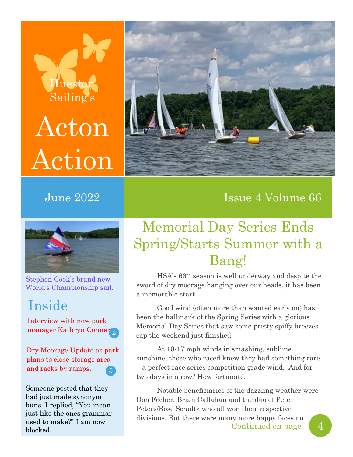# Huesto Sailing's Acton Action



Stephen Cook's brand new World's Championship sail.

## Inside

2 manager Kathryn Conner Interview with new park

Dry Moorage Update as park plans to close storage area and racks by ramps. 5

Someone posted that they had just made synonym buns. I replied, "You mean just like the ones grammar used to make?" I am now blocked.



## June 2022 Issue 4 Volume 66

## Memorial Day Series Ends Spring/Starts Summer with a Bang!

HSA's 66th season is well underway and despite the sword of dry moorage hanging over our heads, it has been a memorable start.

Good wind (often more than wanted early on) has been the hallmark of the Spring Series with a glorious Memorial Day Series that saw some pretty spiffy breezes cap the weekend just finished.

At 10-17 mph winds in smashing, sublime sunshine, those who raced knew they had something rare – a perfect race series competition grade wind. And for two days in a row? How fortunate.

Notable beneficiaries of the dazzling weather were Don Fecher, Brian Callahan and the duo of Pete Peters/Rose Schultz who all won their respective divisions. But there were many more happy faces no Continued on page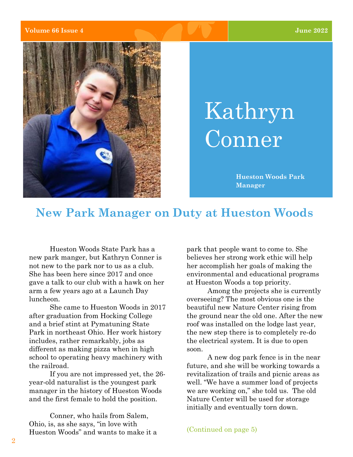#### **Volume 66 Issue 4 June 2022**



# Kathryn Conner

**Hueston Woods Park Manager**

## **New Park Manager on Duty at Hueston Woods**

Hueston Woods State Park has a new park manger, but Kathryn Conner is not new to the park nor to us as a club. She has been here since 2017 and once gave a talk to our club with a hawk on her arm a few years ago at a Launch Day luncheon.

She came to Hueston Woods in 2017 after graduation from Hocking College and a brief stint at Pymatuning State Park in northeast Ohio. Her work history includes, rather remarkably, jobs as different as making pizza when in high school to operating heavy machinery with the railroad.

If you are not impressed yet, the 26 year-old naturalist is the youngest park manager in the history of Hueston Woods and the first female to hold the position.

Conner, who hails from Salem, Ohio, is, as she says, "in love with Hueston Woods" and wants to make it a park that people want to come to. She believes her strong work ethic will help her accomplish her goals of making the environmental and educational programs at Hueston Woods a top priority.

Among the projects she is currently overseeing? The most obvious one is the beautiful new Nature Center rising from the ground near the old one. After the new roof was installed on the lodge last year, the new step there is to completely re-do the electrical system. It is due to open soon.

A new dog park fence is in the near future, and she will be working towards a revitalization of trails and picnic areas as well. "We have a summer load of projects we are working on," she told us. The old Nature Center will be used for storage initially and eventually torn down.

(Continued on page 5)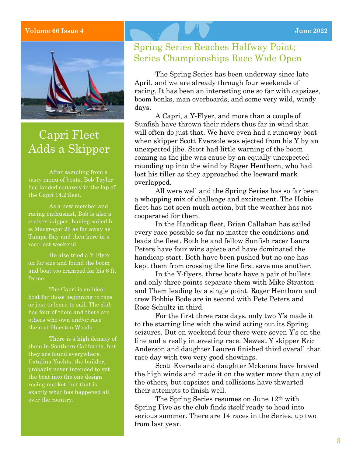### **Volume 66 Issue 4 June 2022**



## Capri Fleet Adds a Skipper

After sampling from a tasty menu of boats, Bob Taylor has landed squarely in the lap of the Capri 14.2 fleet.

racing enthusiast, Bob is also a cruiser skipper, having sailed h is Macgregor 26 as far away as Tampa Bay and then here in a race last weekend.

He also tried a Y-Flyer on for size and found the boom and boat too cramped for his 6 ft. frame.

The Capri is an ideal boat for those beginning to race or just to learn to sail. The club has four of them and there are others who own and/or race them at Hueston Woods.

There is a high density of them in Southern California, but they are found everywhere. Catalina Yachts, the builder, probably never intended to get the boat into the one design racing market, but that is exactly what has happened all over the country.

### Spring Series Reaches Halfway Point; Series Championships Race Wide Open

The Spring Series has been underway since late April, and we are already through four weekends of racing. It has been an interesting one so far with capsizes, boom bonks, man overboards, and some very wild, windy days.

A Capri, a Y-Flyer, and more than a couple of Sunfish have thrown their riders thus far in wind that will often do just that. We have even had a runaway boat when skipper Scott Eversole was ejected from his Y by an unexpected jibe. Scott had little warning of the boom coming as the jibe was cause by an equally unexpected rounding up into the wind by Roger Henthorn, who had lost his tiller as they approached the leeward mark overlapped.

All were well and the Spring Series has so far been a whopping mix of challenge and excitement. The Hobie fleet has not seen much action, but the weather has not cooperated for them.

In the Handicap fleet, Brian Callahan has sailed every race possible so far no matter the conditions and leads the fleet. Both he and fellow Sunfish racer Laura Peters have four wins apiece and have dominated the handicap start. Both have been pushed but no one has kept them from crossing the line first save one another.

In the Y-flyers, three boats have a pair of bullets and only three points separate them with Mike Stratton and Them leading by a single point. Roger Henthorn and crew Bobbie Bode are in second with Pete Peters and Rose Schultz in third.

For the first three race days, only two Y's made it to the starting line with the wind acting out its Spring seizures. But on weekend four there were seven Y's on the line and a really interesting race. Newest Y skipper Eric Anderson and daughter Lauren finished third overall that race day with two very good showings.

Scott Eversole and daughter Mckenna have braved the high winds and made it on the water more than any of the others, but capsizes and collisions have thwarted their attempts to finish well.

The Spring Series resumes on June 12th with Spring Five as the club finds itself ready to head into serious summer. There are 14 races in the Series, up two from last year.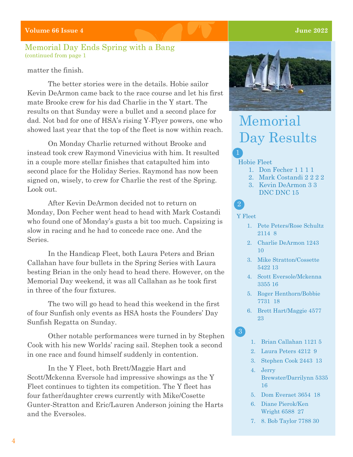### Memorial Day Ends Spring with a Bang (continued from page 1

### matter the finish.

The better stories were in the details. Hobie sailor Kevin DeArmon came back to the race course and let his first mate Brooke crew for his dad Charlie in the Y start. The results on that Sunday were a bullet and a second place for dad. Not bad for one of HSA's rising Y-Flyer powers, one who showed last year that the top of the fleet is now within reach.

On Monday Charlie returned without Brooke and instead took crew Raymond Vinevicius with him. It resulted in a couple more stellar finishes that catapulted him into second place for the Holiday Series. Raymond has now been signed on, wisely, to crew for Charlie the rest of the Spring. Look out.

After Kevin DeArmon decided not to return on Monday, Don Fecher went head to head with Mark Costandi who found one of Monday's gusts a bit too much. Capsizing is slow in racing and he had to concede race one. And the Series.

In the Handicap Fleet, both Laura Peters and Brian Callahan have four bullets in the Spring Series with Laura besting Brian in the only head to head there. However, on the Memorial Day weekend, it was all Callahan as he took first in three of the four fixtures.

The two will go head to head this weekend in the first of four Sunfish only events as HSA hosts the Founders' Day Sunfish Regatta on Sunday.

Other notable performances were turned in by Stephen Cook with his new Worlds' racing sail. Stephen took a second in one race and found himself suddenly in contention.

In the Y Fleet, both Brett/Maggie Hart and Scott/Mckenna Eversole had impressive showings as the Y Fleet continues to tighten its competition. The Y fleet has four father/daughter crews currently with Mike/Cosette Gunter-Stratton and Eric/Lauren Anderson joining the Harts and the Eversoles.



## Memorial Day Results

#### Hobie Fleet

- 1. Don Fecher 1 1 1 1
- 2. Mark Costandi 2 2 2 2
- 3. Kevin DeArmon 3 3 DNC DNC 15

#### Y Fleet

2

 $\left(3\right)$ 

- 1. Pete Peters/Rose Schultz 2114 8
- 2. Charlie DeArmon 1243 10
- 3. Mike Stratton/Cossette 5422 13
- 4. Scott Eversole/Mckenna 3355 16
- 5. Roger Henthorn/Bobbie 7731 18
- 6. Brett Hart/Maggie 4577 23
- 1. Brian Callahan 1121 5
- 2. Laura Peters 4212 9
- 3. Stephen Cook 2443 13
- 4. Jerry Brewster/Darrilynn 5335 16
- 5. Dom Everaet 3654 18
- 6. Diane Pierok/Ken Wright 6588 27
- 7. 8. Bob Taylor 7788 30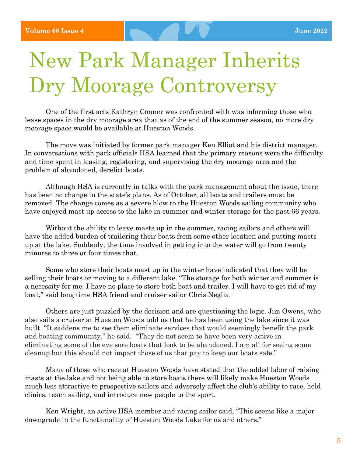# New Park Manager Inherits Dry Moorage Controversy

One of the first acts Kathryn Conner was confronted with was informing those who lease spaces in the dry moorage area that as of the end of the summer season, no more dry moorage space would be available at Hueston Woods.

The move was initiated by former park manager Ken Elliot and his district manager. In conversations with park officials HSA learned that the primary reasons were the difficulty and time spent in leasing, registering, and supervising the dry moorage area and the problem of abandoned, derelict boats.

Although HSA is currently in talks with the park management about the issue, there has been no change in the state's plans. As of October, all boats and trailers must be removed. The change comes as a severe blow to the Hueston Woods sailing community who have enjoyed mast up access to the lake in summer and winter storage for the past 66 years.

Without the ability to leave masts up in the summer, racing sailors and others will have the added burden of trailering their boats from some other location and putting masts up at the lake. Suddenly, the time involved in getting into the water will go from twenty minutes to three or four times that.

Some who store their boats mast up in the winter have indicated that they will be selling their boats or moving to a different lake. "The storage for both winter and summer is a necessity for me. I have no place to store both boat and trailer. I will have to get rid of my boat," said long time HSA friend and cruiser sailor Chris Neglia.

Others are just puzzled by the decision and are questioning the logic. Jim Owens, who also sails a cruiser at Hueston Woods told us that he has been using the lake since it was built. "It saddens me to see them eliminate services that would seemingly benefit the park and boating community," he said. "They do not seem to have been very active in eliminating some of the eye sore boats that look to be abandoned. I am all for seeing some cleanup but this should not impact those of us that pay to keep our boats safe."

Many of those who race at Hueston Woods have stated that the added labor of raising masts at the lake and not being able to store boats there will likely make Hueston Woods much less attractive to prospective sailors and adversely affect the club's ability to race, hold clinics, teach sailing, and introduce new people to the sport.

Ken Wright, an active HSA member and racing sailor said, "This seems like a major downgrade in the functionality of Hueston Woods Lake for us and others."